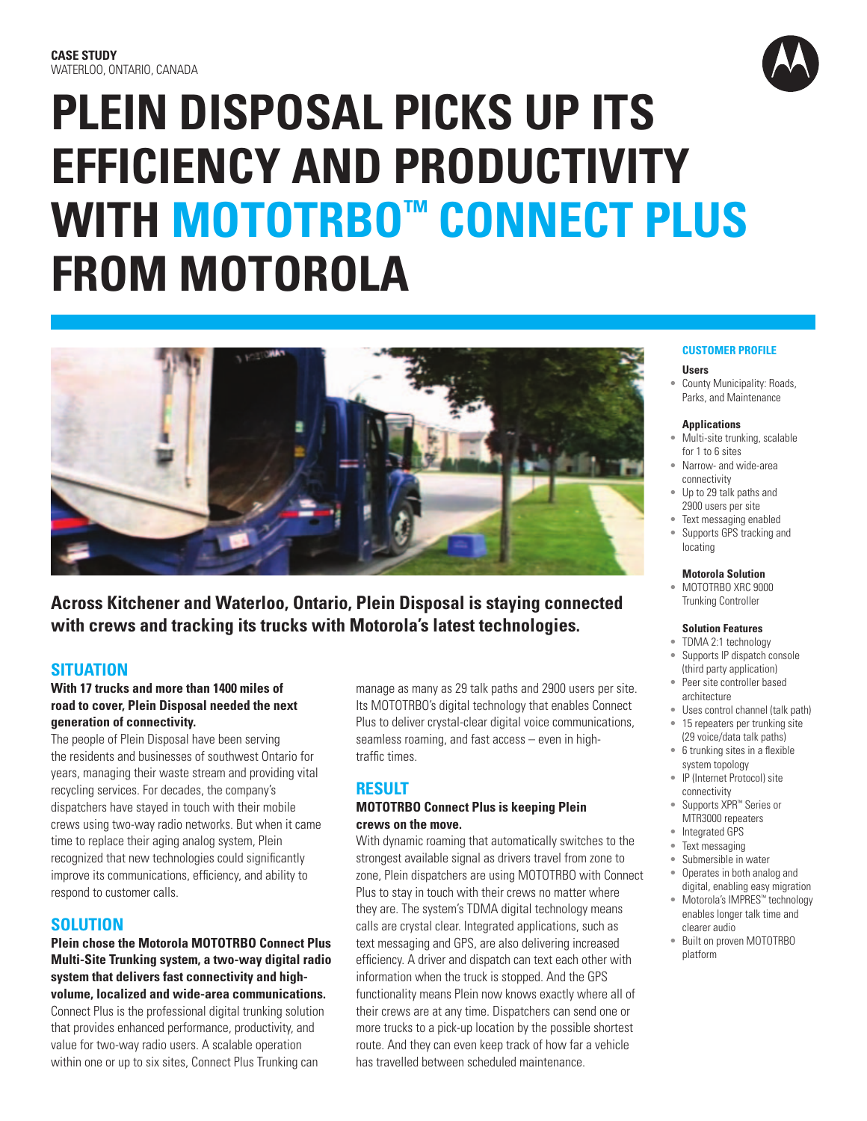# **PLEIN DISPOSAL PICKS UP ITS EFFICIENCY AND PRODUCTIVITY WITH MOTOTRBO™ CONNECT PLUS FROM MOTOROLA**



**Across Kitchener and Waterloo, Ontario, Plein Disposal is staying connected with crews and tracking its trucks with Motorola's latest technologies.**

# **SITUATION**

#### **With 17 trucks and more than 1400 miles of road to cover, Plein Disposal needed the next generation of connectivity.**

The people of Plein Disposal have been serving the residents and businesses of southwest Ontario for years, managing their waste stream and providing vital recycling services. For decades, the company's dispatchers have stayed in touch with their mobile crews using two-way radio networks. But when it came time to replace their aging analog system, Plein recognized that new technologies could significantly improve its communications, efficiency, and ability to respond to customer calls.

# **SOLUTION**

**Plein chose the Motorola MOTOTRBO Connect Plus Multi-Site Trunking system, a two-way digital radio system that delivers fast connectivity and highvolume, localized and wide-area communications.** 

Connect Plus is the professional digital trunking solution that provides enhanced performance, productivity, and value for two-way radio users. A scalable operation within one or up to six sites, Connect Plus Trunking can

manage as many as 29 talk paths and 2900 users per site. Its MOTOTRBO's digital technology that enables Connect Plus to deliver crystal-clear digital voice communications, seamless roaming, and fast access – even in hightraffic times.

# **RESULT**

#### **MOTOTRBO Connect Plus is keeping Plein crews on the move.**

With dynamic roaming that automatically switches to the strongest available signal as drivers travel from zone to zone, Plein dispatchers are using MOTOTRBO with Connect Plus to stay in touch with their crews no matter where they are. The system's TDMA digital technology means calls are crystal clear. Integrated applications, such as text messaging and GPS, are also delivering increased efficiency. A driver and dispatch can text each other with information when the truck is stopped. And the GPS functionality means Plein now knows exactly where all of their crews are at any time. Dispatchers can send one or more trucks to a pick-up location by the possible shortest route. And they can even keep track of how far a vehicle has travelled between scheduled maintenance.

#### **CUSTOMER PROFILE**

#### **Users**

• County Municipality: Roads, Parks, and Maintenance

#### **Applications**

- Multi-site trunking, scalable for 1 to 6 sites
- Narrow- and wide-area connectivity
- Up to 29 talk paths and 2900 users per site
- Text messaging enabled
- Supports GPS tracking and locating

#### **Motorola Solution**

• MOTOTRBO XRC 9000 Trunking Controller

#### **Solution Features**

- TDMA 2:1 technology Supports IP dispatch console (third party application)
- Peer site controller based architecture
- Uses control channel (talk path)
- 15 repeaters per trunking site (29 voice/data talk paths)
- 6 trunking sites in a flexible system topology
- IP (Internet Protocol) site connectivity
- Supports XPR™ Series or MTR3000 repeaters
- Integrated GPS
- Text messaging
- Submersible in water
- Operates in both analog and digital, enabling easy migration
- Motorola's IMPRES™ technology enables longer talk time and clearer audio
- Built on proven MOTOTRBO platform